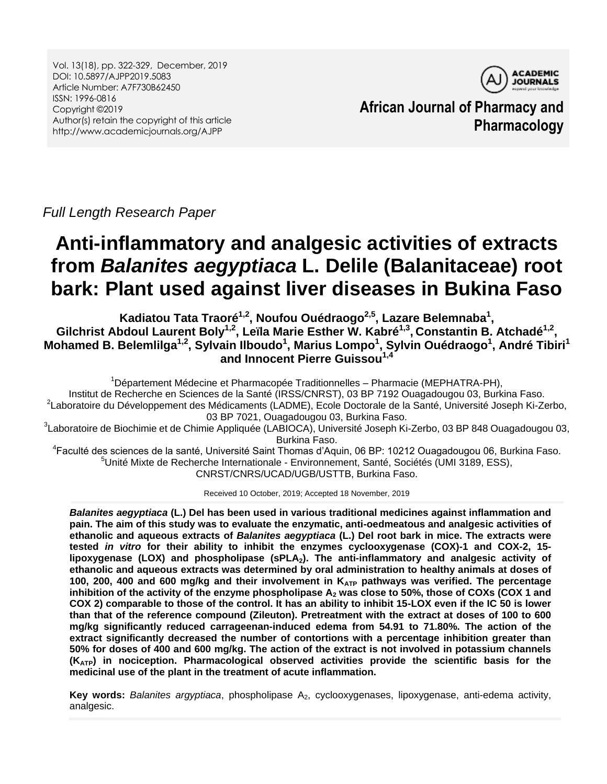Vol. 13(18), pp. 322-329, December, 2019 DOI: 10.5897/AJPP2019.5083 Article Number: A7F730B62450 ISSN: 1996-0816 Copyright ©2019 Author(s) retain the copyright of this article http://www.academicjournals.org/AJPP



**African Journal of Pharmacy and Pharmacology**

*Full Length Research Paper*

# **Anti-inflammatory and analgesic activities of extracts from** *Balanites aegyptiaca* **L. Delile (Balanitaceae) root bark: Plant used against liver diseases in Bukina Faso**

**Kadiatou Tata Traoré1,2, Noufou Ouédraogo2,5, Lazare Belemnaba<sup>1</sup> ,**  Gilchrist Abdoul Laurent Boly<sup>1,2</sup>, Leïla Marie Esther W. Kabré<sup>1,3</sup>, Constantin B. Atchadé<sup>1,2</sup>, **Mohamed B. Belemlilga1,2, Sylvain Ilboudo<sup>1</sup> , Marius Lompo<sup>1</sup> , Sylvin Ouédraogo<sup>1</sup> , André Tibiri<sup>1</sup> and Innocent Pierre Guissou1,4**

<sup>1</sup>Département Médecine et Pharmacopée Traditionnelles – Pharmacie (MEPHATRA-PH), Institut de Recherche en Sciences de la Santé (IRSS/CNRST), 03 BP 7192 Ouagadougou 03, Burkina Faso. <sup>2</sup>Laboratoire du Développement des Médicaments (LADME), Ecole Doctorale de la Santé, Université Joseph Ki-Zerbo, 03 BP 7021, Ouagadougou 03, Burkina Faso.

<sup>3</sup>Laboratoire de Biochimie et de Chimie Appliquée (LABIOCA), Université Joseph Ki-Zerbo, 03 BP 848 Ouagadougou 03, Burkina Faso.

<sup>4</sup>Faculté des sciences de la santé, Université Saint Thomas d'Aquin, 06 BP: 10212 Ouagadougou 06, Burkina Faso. <sup>5</sup>Unité Mixte de Recherche Internationale - Environnement, Santé, Sociétés (UMI 3189, ESS), CNRST/CNRS/UCAD/UGB/USTTB, Burkina Faso.

Received 10 October, 2019; Accepted 18 November, 2019

*Balanites aegyptiaca* **(L.) Del has been used in various traditional medicines against inflammation and pain. The aim of this study was to evaluate the enzymatic, anti-oedmeatous and analgesic activities of ethanolic and aqueous extracts of** *Balanites aegyptiaca* **(L.) Del root bark in mice. The extracts were tested** *in vitro* **for their ability to inhibit the enzymes cyclooxygenase (COX)-1 and COX-2, 15 lipoxygenase (LOX) and phospholipase (sPLA2). The anti-inflammatory and analgesic activity of ethanolic and aqueous extracts was determined by oral administration to healthy animals at doses of 100, 200, 400 and 600 mg/kg and their involvement in KATP pathways was verified. The percentage inhibition of the activity of the enzyme phospholipase A<sup>2</sup> was close to 50%, those of COXs (COX 1 and COX 2) comparable to those of the control. It has an ability to inhibit 15-LOX even if the IC 50 is lower than that of the reference compound (Zileuton). Pretreatment with the extract at doses of 100 to 600 mg/kg significantly reduced carrageenan-induced edema from 54.91 to 71.80%. The action of the extract significantly decreased the number of contortions with a percentage inhibition greater than 50% for doses of 400 and 600 mg/kg. The action of the extract is not involved in potassium channels (KATP) in nociception. Pharmacological observed activities provide the scientific basis for the medicinal use of the plant in the treatment of acute inflammation.**

Key words: Balanites argyptiaca, phospholipase A<sub>2</sub>, cyclooxygenases, lipoxygenase, anti-edema activity, analgesic.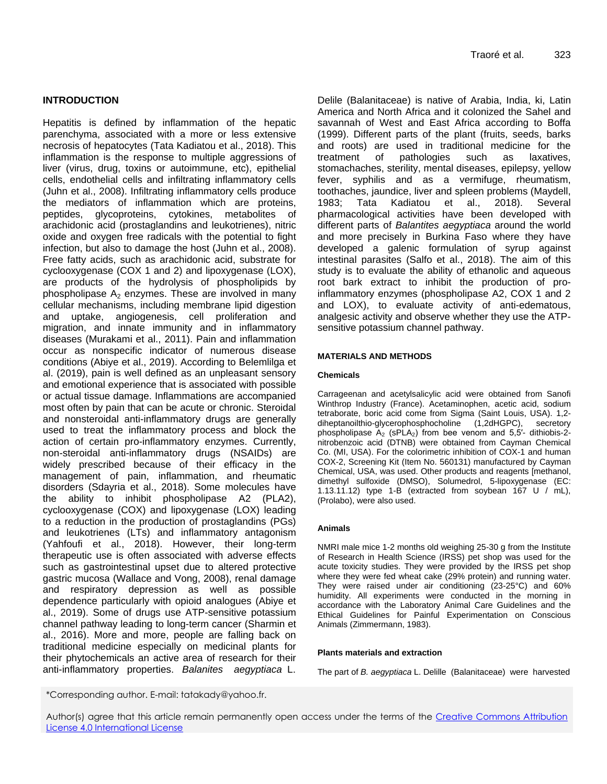# **INTRODUCTION**

Hepatitis is defined by inflammation of the hepatic parenchyma, associated with a more or less extensive necrosis of hepatocytes (Tata Kadiatou et al., 2018). This inflammation is the response to multiple aggressions of liver (virus, drug, toxins or autoimmune, etc), epithelial cells, endothelial cells and infiltrating inflammatory cells (Juhn et al., 2008). Infiltrating inflammatory cells produce the mediators of inflammation which are proteins, peptides, glycoproteins, cytokines, metabolites of arachidonic acid (prostaglandins and leukotrienes), nitric oxide and oxygen free radicals with the potential to fight infection, but also to damage the host (Juhn et al., 2008). Free fatty acids, such as arachidonic acid, substrate for cyclooxygenase (COX 1 and 2) and lipoxygenase (LOX), are products of the hydrolysis of phospholipids by phospholipase  $A_2$  enzymes. These are involved in many cellular mechanisms, including membrane lipid digestion and uptake, angiogenesis, cell proliferation and migration, and innate immunity and in inflammatory diseases (Murakami et al., 2011). Pain and inflammation occur as nonspecific indicator of numerous disease conditions (Abiye et al., 2019). According to Belemlilga et al. (2019), pain is well defined as an unpleasant sensory and emotional experience that is associated with possible or actual tissue damage. Inflammations are accompanied most often by pain that can be acute or chronic. Steroidal and nonsteroidal anti-inflammatory drugs are generally used to treat the inflammatory process and block the action of certain pro-inflammatory enzymes. Currently, non-steroidal anti-inflammatory drugs (NSAIDs) are widely prescribed because of their efficacy in the management of pain, inflammation, and rheumatic disorders (Sdayria et al., 2018). Some molecules have the ability to inhibit phospholipase A2 (PLA2), cyclooxygenase (COX) and lipoxygenase (LOX) leading to a reduction in the production of prostaglandins (PGs) and leukotrienes (LTs) and inflammatory antagonism (Yahfoufi et al., 2018). However, their long-term therapeutic use is often associated with adverse effects such as gastrointestinal upset due to altered protective gastric mucosa (Wallace and Vong, 2008), renal damage and respiratory depression as well as possible dependence particularly with opioid analogues (Abiye et al., 2019). Some of drugs use ATP-sensitive potassium channel pathway leading to long-term cancer (Sharmin et al., 2016). More and more, people are falling back on traditional medicine especially on medicinal plants for their phytochemicals an active area of research for their anti-inflammatory properties. *Balanites aegyptiaca* L. Delile (Balanitaceae) is native of Arabia, India, ki, Latin America and North Africa and it colonized the Sahel and savannah of West and East Africa according to Boffa (1999). Different parts of the plant (fruits, seeds, barks and roots) are used in traditional medicine for the treatment of pathologies such as laxatives, stomachaches, sterility, mental diseases, epilepsy, yellow fever, syphilis and as a vermifuge, rheumatism, toothaches, jaundice, liver and spleen problems (Maydell, 1983; Tata Kadiatou et al., 2018). Several pharmacological activities have been developed with different parts of *Balantites aegyptiaca* around the world and more precisely in Burkina Faso where they have developed a galenic formulation of syrup against intestinal parasites (Salfo et al., 2018). The aim of this study is to evaluate the ability of ethanolic and aqueous root bark extract to inhibit the production of proinflammatory enzymes (phospholipase A2, COX 1 and 2 and LOX), to evaluate activity of anti-edematous, analgesic activity and observe whether they use the ATPsensitive potassium channel pathway.

## **MATERIALS AND METHODS**

#### **Chemicals**

Carrageenan and acetylsalicylic acid were obtained from Sanofi Winthrop Industry (France). Acetaminophen, acetic acid, sodium tetraborate, boric acid come from Sigma (Saint Louis, USA). 1,2 diheptanoilthio-glycerophosphocholine (1,2dHGPC), secretory phospholipase  $A_2$  (sPLA<sub>2</sub>) from bee venom and 5,5'- dithiobis-2nitrobenzoic acid (DTNB) were obtained from Cayman Chemical Co. (MI, USA). For the colorimetric inhibition of COX-1 and human COX-2, Screening Kit (Item No. 560131) manufactured by Cayman Chemical, USA, was used. Other products and reagents [methanol, dimethyl sulfoxide (DMSO), Solumedrol, 5-lipoxygenase (EC: 1.13.11.12) type 1-B (extracted from soybean 167 U / mL), (Prolabo), were also used.

#### **Animals**

NMRI male mice 1-2 months old weighing 25-30 g from the Institute of Research in Health Science (IRSS) pet shop was used for the acute toxicity studies. They were provided by the IRSS pet shop where they were fed wheat cake (29% protein) and running water. They were raised under air conditioning (23-25°C) and 60% humidity. All experiments were conducted in the morning in accordance with the Laboratory Animal Care Guidelines and the Ethical Guidelines for Painful Experimentation on Conscious Animals (Zimmermann, 1983).

#### **Plants materials and extraction**

The part of *B. aegyptiaca* L. Delille (Balanitaceae) were harvested

\*Corresponding author. E-mail: tatakady@yahoo.fr.

Author(s) agree that this article remain permanently open access under the terms of the Creative Commons Attribution [License 4.0 International License](http://creativecommons.org/licenses/by/4.0/deed.en_US)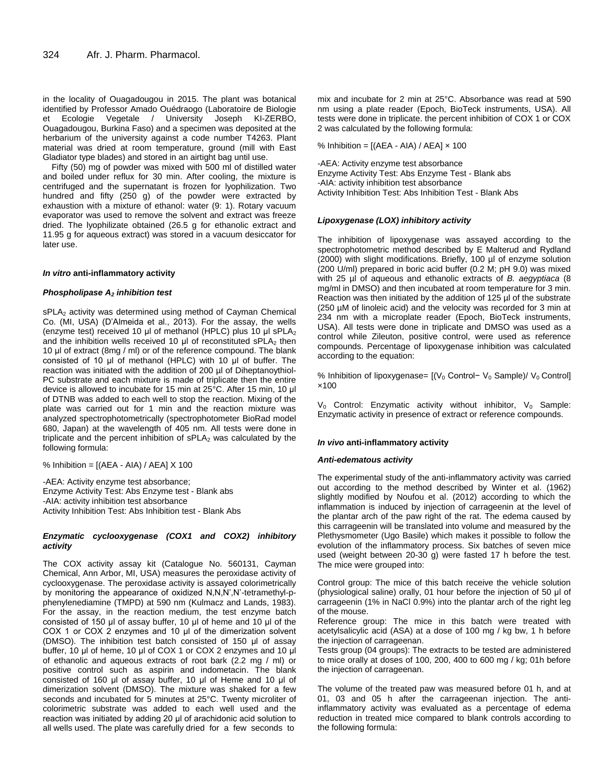in the locality of Ouagadougou in 2015. The plant was botanical identified by Professor Amado Ouédraogo (Laboratoire de Biologie et Ecologie Vegetale / University Joseph KI-ZERBO, Ouagadougou, Burkina Faso) and a specimen was deposited at the herbarium of the university against a code number T4263. Plant material was dried at room temperature, ground (mill with East Gladiator type blades) and stored in an airtight bag until use.

Fifty (50) mg of powder was mixed with 500 ml of distilled water and boiled under reflux for 30 min. After cooling, the mixture is centrifuged and the supernatant is frozen for lyophilization. Two hundred and fifty (250 g) of the powder were extracted by exhaustion with a mixture of ethanol: water (9: 1). Rotary vacuum evaporator was used to remove the solvent and extract was freeze dried. The lyophilizate obtained (26.5 g for ethanolic extract and 11.95 g for aqueous extract) was stored in a vacuum desiccator for later use.

#### *In vitro* **anti-inflammatory activity**

#### *Phospholipase A<sup>2</sup> inhibition test*

sPLA<sub>2</sub> activity was determined using method of Cayman Chemical Co. (MI, USA) (D'Almeida et al., 2013). For the assay, the wells (enzyme test) received 10 μl of methanol (HPLC) plus 10 μl sPLA<sup>2</sup> and the inhibition wells received 10  $\mu$  of reconstituted sPLA<sub>2</sub> then 10 μl of extract (8mg / ml) or of the reference compound. The blank consisted of 10 μl of methanol (HPLC) with 10 μl of buffer. The reaction was initiated with the addition of 200 µl of Diheptanoythiol-PC substrate and each mixture is made of triplicate then the entire device is allowed to incubate for 15 min at 25°C. After 15 min, 10 μl of DTNB was added to each well to stop the reaction. Mixing of the plate was carried out for 1 min and the reaction mixture was analyzed spectrophotometrically (spectrophotometer BioRad model 680, Japan) at the wavelength of 405 nm. All tests were done in triplicate and the percent inhibition of  $sPLA_2$  was calculated by the following formula:

% Inhibition = [(AEA - AIA) / AEA] X 100

-AEA: Activity enzyme test absorbance; Enzyme Activity Test: Abs Enzyme test - Blank abs -AIA: activity inhibition test absorbance Activity Inhibition Test: Abs Inhibition test - Blank Abs

#### *Enzymatic cyclooxygenase (COX1 and COX2) inhibitory activity*

The COX activity assay kit (Catalogue No. 560131, Cayman Chemical, Ann Arbor, MI, USA) measures the peroxidase activity of cyclooxygenase. The peroxidase activity is assayed colorimetrically by monitoring the appearance of oxidized N,N,N',N'-tetramethyl-pphenylenediamine (TMPD) at 590 nm (Kulmacz and Lands, 1983). For the assay, in the reaction medium, the test enzyme batch consisted of 150 μl of assay buffer, 10 μl of heme and 10 μl of the COX 1 or COX 2 enzymes and 10 μl of the dimerization solvent (DMSO). The inhibition test batch consisted of 150 μl of assay buffer, 10 μl of heme, 10 μl of COX 1 or COX 2 enzymes and 10 μl of ethanolic and aqueous extracts of root bark (2.2 mg / ml) or positive control such as aspirin and indometacin. The blank consisted of 160 μl of assay buffer, 10 μl of Heme and 10 μl of dimerization solvent (DMSO). The mixture was shaked for a few seconds and incubated for 5 minutes at 25°C. Twenty microliter of colorimetric substrate was added to each well used and the reaction was initiated by adding 20 μl of arachidonic acid solution to all wells used. The plate was carefully dried for a few seconds to

mix and incubate for 2 min at 25°C. Absorbance was read at 590 nm using a plate reader (Epoch, BioTeck instruments, USA). All tests were done in triplicate. the percent inhibition of COX 1 or COX 2 was calculated by the following formula:

% Inhibition =  $[(AEA - AIA) / AEA] \times 100$ 

-AEA: Activity enzyme test absorbance Enzyme Activity Test: Abs Enzyme Test - Blank abs -AIA: activity inhibition test absorbance Activity Inhibition Test: Abs Inhibition Test - Blank Abs

#### *Lipoxygenase (LOX) inhibitory activity*

The inhibition of lipoxygenase was assayed according to the spectrophotometric method described by E Malterud and Rydland (2000) with slight modifications. Briefly, 100 µl of enzyme solution (200 U/ml) prepared in boric acid buffer (0.2 M; pH 9.0) was mixed with 25 µl of aqueous and ethanolic extracts of *B. aegyptiaca* (8 mg/ml in DMSO) and then incubated at room temperature for 3 min. Reaction was then initiated by the addition of 125 µl of the substrate (250 µM of linoleic acid) and the velocity was recorded for 3 min at 234 nm with a microplate reader (Epoch, BioTeck instruments, USA). All tests were done in triplicate and DMSO was used as a control while Zileuton, positive control, were used as reference compounds. Percentage of lipoxygenase inhibition was calculated according to the equation:

% Inhibition of lipoxygenase= [(V<sub>0</sub> Control− V<sub>0</sub> Sample)/ V<sub>0</sub> Control] ×100

 $V_0$  Control: Enzymatic activity without inhibitor,  $V_0$  Sample: Enzymatic activity in presence of extract or reference compounds.

#### *In vivo* **anti-inflammatory activity**

#### *Anti-edematous activity*

The experimental study of the anti-inflammatory activity was carried out according to the method described by Winter et al. (1962) slightly modified by Noufou et al. (2012) according to which the inflammation is induced by injection of carrageenin at the level of the plantar arch of the paw right of the rat. The edema caused by this carrageenin will be translated into volume and measured by the Plethysmometer (Ugo Basile) which makes it possible to follow the evolution of the inflammatory process. Six batches of seven mice used (weight between 20-30 g) were fasted 17 h before the test. The mice were grouped into:

Control group: The mice of this batch receive the vehicle solution (physiological saline) orally, 01 hour before the injection of 50 μl of carrageenin (1% in NaCl 0.9%) into the plantar arch of the right leg of the mouse.

Reference group: The mice in this batch were treated with acetylsalicylic acid (ASA) at a dose of 100 mg / kg bw, 1 h before the injection of carrageenan.

Tests group (04 groups): The extracts to be tested are administered to mice orally at doses of 100, 200, 400 to 600 mg / kg; 01h before the injection of carrageenan.

The volume of the treated paw was measured before 01 h, and at 01, 03 and 05 h after the carrageenan injection. The antiinflammatory activity was evaluated as a percentage of edema reduction in treated mice compared to blank controls according to the following formula: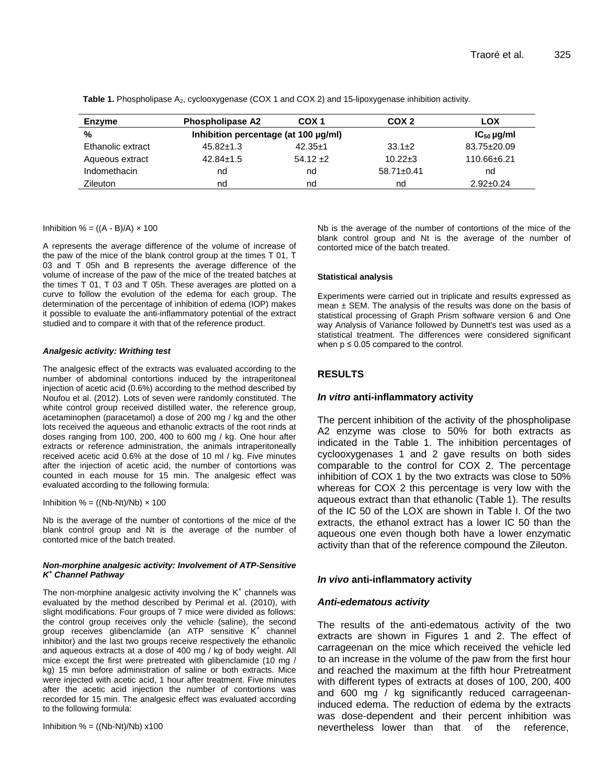| Enzyme            | <b>Phospholipase A2</b>              | COX <sub>1</sub> | COX <sub>2</sub> | LOX             |
|-------------------|--------------------------------------|------------------|------------------|-----------------|
| %                 | Inhibition percentage (at 100 µg/ml) |                  |                  | $IC_{50}$ µg/ml |
| Ethanolic extract | $45.82 \pm 1.3$                      | $42.35+1$        | $33.1 \pm 2$     | 83.75±20.09     |
| Aqueous extract   | $42.84 \pm 1.5$                      | $54.12 \pm 2$    | $10.22 \pm 3$    | 110.66±6.21     |
| Indomethacin      | nd                                   | nd               | $58.71 \pm 0.41$ | nd              |
| <b>Zileuton</b>   | nd                                   | nd               | nd               | $2.92 \pm 0.24$ |

**Table 1.** Phospholipase A<sub>2</sub>, cyclooxygenase (COX 1 and COX 2) and 15-lipoxygenase inhibition activity.

## Inhibition  $% = ((A - B)/A) \times 100$

A represents the average difference of the volume of increase of the paw of the mice of the blank control group at the times T 01, T 03 and T 05h and B represents the average difference of the volume of increase of the paw of the mice of the treated batches at the times T 01, T 03 and T 05h. These averages are plotted on a curve to follow the evolution of the edema for each group. The determination of the percentage of inhibition of edema (IOP) makes it possible to evaluate the anti-inflammatory potential of the extract studied and to compare it with that of the reference product.

## *Analgesic activity: Writhing test*

The analgesic effect of the extracts was evaluated according to the number of abdominal contortions induced by the intraperitoneal injection of acetic acid (0.6%) according to the method described by Noufou et al. (2012). Lots of seven were randomly constituted. The white control group received distilled water, the reference group, acetaminophen (paracetamol) a dose of 200 mg / kg and the other lots received the aqueous and ethanolic extracts of the root rinds at doses ranging from 100, 200, 400 to 600 mg / kg. One hour after extracts or reference administration, the animals intraperitoneally received acetic acid 0.6% at the dose of 10 ml / kg. Five minutes after the injection of acetic acid, the number of contortions was counted in each mouse for 15 min. The analgesic effect was evaluated according to the following formula:

Inhibition % = ((Nb-Nt)/Nb)  $\times$  100

Nb is the average of the number of contortions of the mice of the blank control group and Nt is the average of the number of contorted mice of the batch treated.

#### *Non-morphine analgesic activity: Involvement of ATP-Sensitive K <sup>+</sup> Channel Pathway*

The non-morphine analgesic activity involving the  $K^+$  channels was evaluated by the method described by Perimal et al. (2010), with slight modifications. Four groups of 7 mice were divided as follows: the control group receives only the vehicle (saline), the second group receives glibenclamide (an ATP sensitive K<sup>+</sup> channel inhibitor) and the last two groups receive respectively the ethanolic and aqueous extracts at a dose of 400 mg / kg of body weight. All mice except the first were pretreated with glibenclamide (10 mg / kg) 15 min before administration of saline or both extracts. Mice were injected with acetic acid, 1 hour after treatment. Five minutes after the acetic acid injection the number of contortions was recorded for 15 min. The analgesic effect was evaluated according to the following formula:

Inhibition  $% = ((Nb-Nt)/Nb) \times 100$ 

Nb is the average of the number of contortions of the mice of the blank control group and Nt is the average of the number of contorted mice of the batch treated.

## **Statistical analysis**

Experiments were carried out in triplicate and results expressed as mean  $\pm$  SEM. The analysis of the results was done on the basis of statistical processing of Graph Prism software version 6 and One way Analysis of Variance followed by Dunnett's test was used as a statistical treatment. The differences were considered significant when  $p \le 0.05$  compared to the control.

# **RESULTS**

# *In vitro* **anti-inflammatory activity**

The percent inhibition of the activity of the phospholipase A2 enzyme was close to 50% for both extracts as indicated in the Table 1. The inhibition percentages of cyclooxygenases 1 and 2 gave results on both sides comparable to the control for COX 2. The percentage inhibition of COX 1 by the two extracts was close to 50% whereas for COX 2 this percentage is very low with the aqueous extract than that ethanolic (Table 1). The results of the IC 50 of the LOX are shown in Table I. Of the two extracts, the ethanol extract has a lower IC 50 than the aqueous one even though both have a lower enzymatic activity than that of the reference compound the Zileuton.

# *In vivo* **anti-inflammatory activity**

# *Anti-edematous activity*

The results of the anti-edematous activity of the two extracts are shown in Figures 1 and 2. The effect of carrageenan on the mice which received the vehicle led to an increase in the volume of the paw from the first hour and reached the maximum at the fifth hour Pretreatment with different types of extracts at doses of 100, 200, 400 and 600 mg / kg significantly reduced carrageenaninduced edema. The reduction of edema by the extracts was dose-dependent and their percent inhibition was nevertheless lower than that of the reference,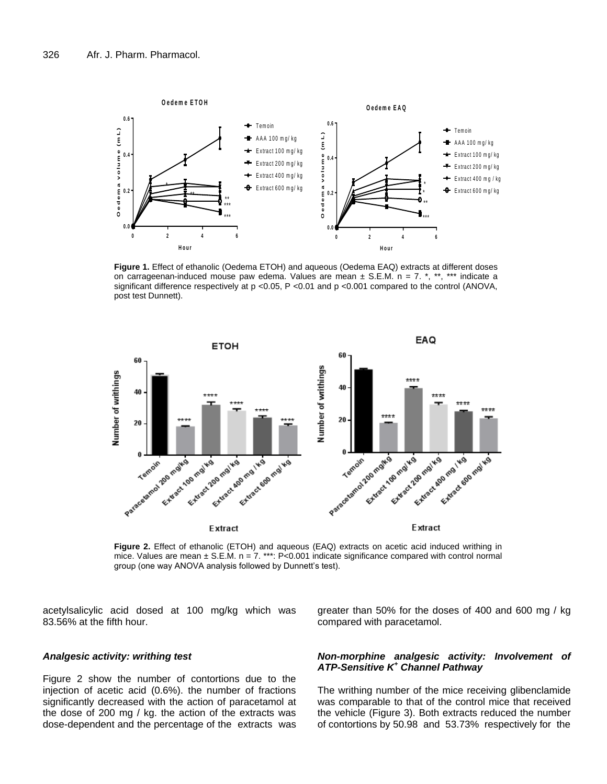

**Figure 1.** Effect of ethanolic (Oedema ETOH) and aqueous (Oedema EAQ) extracts at different doses on carrageenan-induced mouse paw edema. Values are mean  $\pm$  S.E.M. n = 7. \*, \*\*, \*\*\* indicate a significant difference respectively at p <0.05, P <0.01 and p <0.001 compared to the control (ANOVA, post test Dunnett).



**Figure 2.** Effect of ethanolic (ETOH) and aqueous (EAQ) extracts on acetic acid induced writhing in mice. Values are mean  $\pm$  S.E.M. n = 7. \*\*\*: P<0.001 indicate significance compared with control normal group (one way ANOVA analysis followed by Dunnett's test).

acetylsalicylic acid dosed at 100 mg/kg which was 83.56% at the fifth hour.

greater than 50% for the doses of 400 and 600 mg / kg compared with paracetamol.

## *Analgesic activity: writhing test*

Figure 2 show the number of contortions due to the injection of acetic acid (0.6%). the number of fractions significantly decreased with the action of paracetamol at the dose of 200 mg / kg. the action of the extracts was dose-dependent and the percentage of the extracts was

## *Non-morphine analgesic activity: Involvement of ATP-Sensitive K<sup>+</sup> Channel Pathway*

The writhing number of the mice receiving glibenclamide was comparable to that of the control mice that received the vehicle (Figure 3). Both extracts reduced the number of contortions by 50.98 and 53.73% respectively for the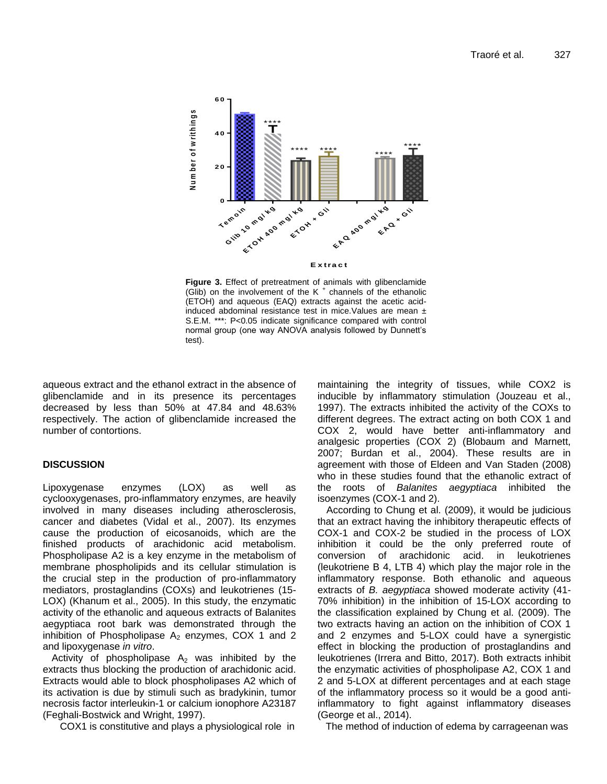

**Figure 3.** Effect of pretreatment of animals with glibenclamide (Glib) on the involvement of the K<sup>+</sup> channels of the ethanolic (ETOH) and aqueous (EAQ) extracts against the acetic acidinduced abdominal resistance test in mice.Values are mean ± S.E.M. \*\*\*: P<0.05 indicate significance compared with control normal group (one way ANOVA analysis followed by Dunnett's test).

aqueous extract and the ethanol extract in the absence of glibenclamide and in its presence its percentages decreased by less than 50% at 47.84 and 48.63% respectively. The action of glibenclamide increased the number of contortions.

# **DISCUSSION**

Lipoxygenase enzymes (LOX) as well as cyclooxygenases, pro-inflammatory enzymes, are heavily involved in many diseases including atherosclerosis, cancer and diabetes (Vidal et al., 2007). Its enzymes cause the production of eicosanoids, which are the finished products of arachidonic acid metabolism. Phospholipase A2 is a key enzyme in the metabolism of membrane phospholipids and its cellular stimulation is the crucial step in the production of pro-inflammatory mediators, prostaglandins (COXs) and leukotrienes (15- LOX) (Khanum et al., 2005). In this study, the enzymatic activity of the ethanolic and aqueous extracts of Balanites aegyptiaca root bark was demonstrated through the inhibition of Phospholipase  $A_2$  enzymes, COX 1 and 2 and lipoxygenase *in vitro*.

Activity of phospholipase  $A_2$  was inhibited by the extracts thus blocking the production of arachidonic acid. Extracts would able to block phospholipases A2 which of its activation is due by stimuli such as bradykinin, tumor necrosis factor interleukin-1 or calcium ionophore A23187 (Feghali-Bostwick and Wright, 1997).

COX1 is constitutive and plays a physiological role in

maintaining the integrity of tissues, while COX2 is inducible by inflammatory stimulation (Jouzeau et al., 1997). The extracts inhibited the activity of the COXs to different degrees. The extract acting on both COX 1 and COX 2, would have better anti-inflammatory and analgesic properties (COX 2) (Blobaum and Marnett, 2007; Burdan et al., 2004). These results are in agreement with those of Eldeen and Van Staden (2008) who in these studies found that the ethanolic extract of the roots of *Balanites aegyptiaca* inhibited the isoenzymes (COX-1 and 2).

According to Chung et al. (2009), it would be judicious that an extract having the inhibitory therapeutic effects of COX-1 and COX-2 be studied in the process of LOX inhibition it could be the only preferred route of conversion of arachidonic acid. in leukotrienes (leukotriene B 4, LTB 4) which play the major role in the inflammatory response. Both ethanolic and aqueous extracts of *B. aegyptiaca* showed moderate activity (41- 70% inhibition) in the inhibition of 15-LOX according to the classification explained by Chung et al. (2009). The two extracts having an action on the inhibition of COX 1 and 2 enzymes and 5-LOX could have a synergistic effect in blocking the production of prostaglandins and leukotrienes (Irrera and Bitto, 2017). Both extracts inhibit the enzymatic activities of phospholipase A2, COX 1 and 2 and 5-LOX at different percentages and at each stage of the inflammatory process so it would be a good antiinflammatory to fight against inflammatory diseases (George et al., 2014).

The method of induction of edema by carrageenan was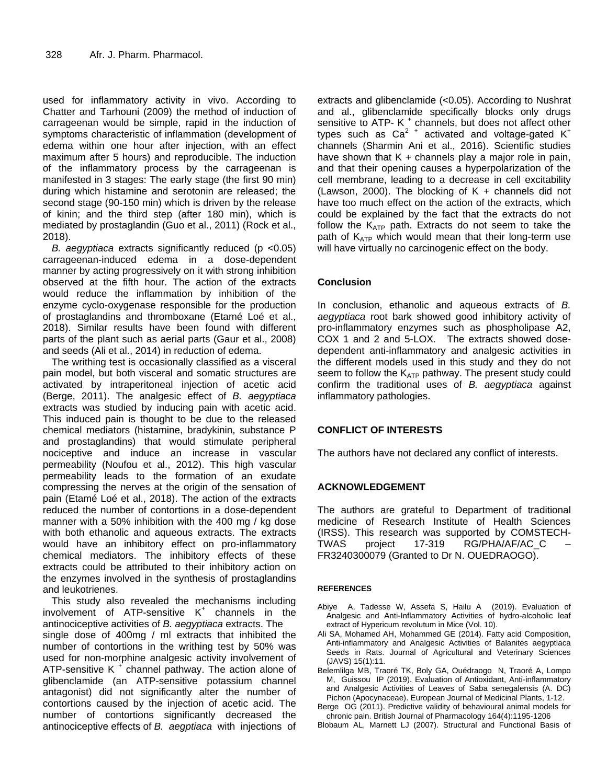used for inflammatory activity in vivo. According to Chatter and Tarhouni (2009) the method of induction of carrageenan would be simple, rapid in the induction of symptoms characteristic of inflammation (development of edema within one hour after injection, with an effect maximum after 5 hours) and reproducible. The induction of the inflammatory process by the carrageenan is manifested in 3 stages: The early stage (the first 90 min) during which histamine and serotonin are released; the second stage (90-150 min) which is driven by the release of kinin; and the third step (after 180 min), which is mediated by prostaglandin (Guo et al., 2011) (Rock et al., 2018).

*B. aegyptiaca* extracts significantly reduced (p <0.05) carrageenan-induced edema in a dose-dependent manner by acting progressively on it with strong inhibition observed at the fifth hour. The action of the extracts would reduce the inflammation by inhibition of the enzyme cyclo-oxygenase responsible for the production of prostaglandins and thromboxane (Etamé Loé et al., 2018). Similar results have been found with different parts of the plant such as aerial parts (Gaur et al., 2008) and seeds (Ali et al., 2014) in reduction of edema.

The writhing test is occasionally classified as a visceral pain model, but both visceral and somatic structures are activated by intraperitoneal injection of acetic acid (Berge, 2011). The analgesic effect of *B. aegyptiaca* extracts was studied by inducing pain with acetic acid. This induced pain is thought to be due to the released chemical mediators (histamine, bradykinin, substance P and prostaglandins) that would stimulate peripheral nociceptive and induce an increase in vascular permeability (Noufou et al., 2012). This high vascular permeability leads to the formation of an exudate compressing the nerves at the origin of the sensation of pain (Etamé Loé et al., 2018). The action of the extracts reduced the number of contortions in a dose-dependent manner with a 50% inhibition with the 400 mg / kg dose with both ethanolic and aqueous extracts. The extracts would have an inhibitory effect on pro-inflammatory chemical mediators. The inhibitory effects of these extracts could be attributed to their inhibitory action on the enzymes involved in the synthesis of prostaglandins and leukotrienes.

This study also revealed the mechanisms including  $involvement$  of ATP-sensitive  $K^+$  channels in the antinociceptive activities of *B. aegyptiaca* extracts. The single dose of 400mg / ml extracts that inhibited the number of contortions in the writhing test by 50% was used for non-morphine analgesic activity involvement of ATP-sensitive K<sup>+</sup> channel pathway. The action alone of glibenclamide (an ATP-sensitive potassium channel antagonist) did not significantly alter the number of contortions caused by the injection of acetic acid. The number of contortions significantly decreased the antinociceptive effects of *B. aegptiaca* with injections of

extracts and glibenclamide (<0.05). According to Nushrat and al., glibenclamide specifically blocks only drugs sensitive to ATP- K<sup>+</sup> channels, but does not affect other types such as  $Ca<sup>2+</sup>$  activated and voltage-gated  $K<sup>+</sup>$ channels (Sharmin Ani et al., 2016). Scientific studies have shown that  $K +$  channels play a major role in pain, and that their opening causes a hyperpolarization of the cell membrane, leading to a decrease in cell excitability (Lawson, 2000). The blocking of  $K +$  channels did not have too much effect on the action of the extracts, which could be explained by the fact that the extracts do not follow the  $K_{ATP}$  path. Extracts do not seem to take the path of  $K_{ATP}$  which would mean that their long-term use will have virtually no carcinogenic effect on the body.

# **Conclusion**

In conclusion, ethanolic and aqueous extracts of *B. aegyptiaca* root bark showed good inhibitory activity of pro-inflammatory enzymes such as phospholipase A2, COX 1 and 2 and 5-LOX. The extracts showed dosedependent anti-inflammatory and analgesic activities in the different models used in this study and they do not seem to follow the  $K_{ATP}$  pathway. The present study could confirm the traditional uses of *B. aegyptiaca* against inflammatory pathologies.

# **CONFLICT OF INTERESTS**

The authors have not declared any conflict of interests.

# **ACKNOWLEDGEMENT**

The authors are grateful to Department of traditional medicine of Research Institute of Health Sciences (IRSS). This research was supported by COMSTECH-TWAS project 17-319 RG/PHA/AF/AC\_C – FR3240300079 (Granted to Dr N. OUEDRAOGO).

## **REFERENCES**

- Abiye A, Tadesse W, Assefa S, Hailu A (2019). Evaluation of Analgesic and Anti-Inflammatory Activities of hydro-alcoholic leaf extract of Hypericum revolutum in Mice (Vol. 10).
- Ali SA, Mohamed AH, Mohammed GE (2014). Fatty acid Composition, Anti-inflammatory and Analgesic Activities of Balanites aegyptiaca Seeds in Rats. Journal of Agricultural and Veterinary Sciences (JAVS) 15(1):11.
- Belemlilga MB, Traoré TK, Boly GA, Ouédraogo N, Traoré A, Lompo M, Guissou IP (2019). Evaluation of Antioxidant, Anti-inflammatory and Analgesic Activities of Leaves of Saba senegalensis (A. DC) Pichon (Apocynaceae). European Journal of Medicinal Plants, 1-12.
- Berge OG (2011). Predictive validity of behavioural animal models for chronic pain. British Journal of Pharmacology 164(4):1195-1206
- Blobaum AL, Marnett LJ (2007). Structural and Functional Basis of